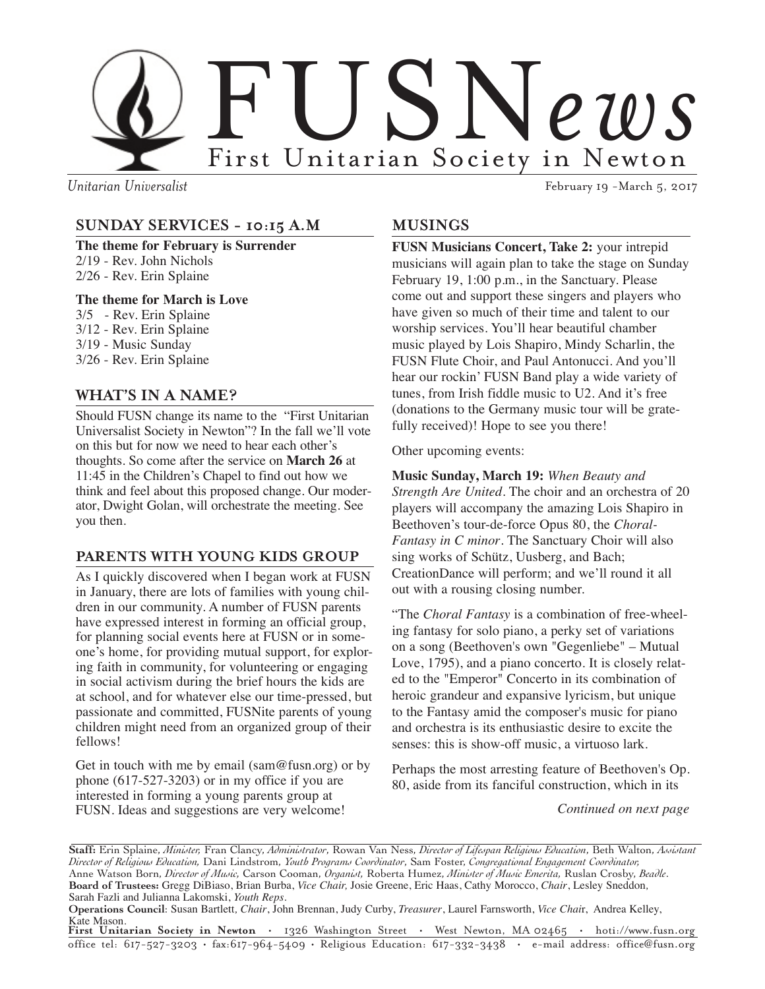

*Unitarian Universalist* February 19 -March 5, 2017

### **SUNDAY SERVICES - 10:15 A.M**

**The theme for February is Surrender** 2/19 - Rev. John Nichols 2/26 - Rev. Erin Splaine

### **The theme for March is Love**

3/5 - Rev. Erin Splaine 3/12 - Rev. Erin Splaine 3/19 - Music Sunday 3/26 - Rev. Erin Splaine

### **WHAT'S IN A NAME?**

Should FUSN change its name to the "First Unitarian Universalist Society in Newton"? In the fall we'll vote on this but for now we need to hear each other's thoughts. So come after the service on **March 26** at 11:45 in the Children's Chapel to find out how we think and feel about this proposed change. Our moderator, Dwight Golan, will orchestrate the meeting. See you then.

### **PARENTS WITH YOUNG KIDS GROUP**

As I quickly discovered when I began work at FUSN in January, there are lots of families with young children in our community. A number of FUSN parents have expressed interest in forming an official group, for planning social events here at FUSN or in someone's home, for providing mutual support, for exploring faith in community, for volunteering or engaging in social activism during the brief hours the kids are at school, and for whatever else our time-pressed, but passionate and committed, FUSNite parents of young children might need from an organized group of their fellows!

Get in touch with me by email (sam@fusn.org) or by phone (617-527-3203) or in my office if you are interested in forming a young parents group at FUSN. Ideas and suggestions are very welcome!

### **MUSINGS**

**FUSN Musicians Concert, Take 2:** your intrepid musicians will again plan to take the stage on Sunday February 19, 1:00 p.m., in the Sanctuary. Please come out and support these singers and players who have given so much of their time and talent to our worship services. You'll hear beautiful chamber music played by Lois Shapiro, Mindy Scharlin, the FUSN Flute Choir, and Paul Antonucci. And you'll hear our rockin' FUSN Band play a wide variety of tunes, from Irish fiddle music to U2. And it's free (donations to the Germany music tour will be gratefully received)! Hope to see you there!

Other upcoming events:

**Music Sunday, March 19:** *When Beauty and Strength Are United*. The choir and an orchestra of 20 players will accompany the amazing Lois Shapiro in Beethoven's tour-de-force Opus 80, the *Choral-Fantasy in C minor*. The Sanctuary Choir will also sing works of Schütz, Uusberg, and Bach; CreationDance will perform; and we'll round it all out with a rousing closing number.

"The *Choral Fantasy* is a combination of free-wheeling fantasy for solo piano, a perky set of variations on a song (Beethoven's own "Gegenliebe" – Mutual Love, 1795), and a piano concerto. It is closely related to the "Emperor" Concerto in its combination of heroic grandeur and expansive lyricism, but unique to the Fantasy amid the composer's music for piano and orchestra is its enthusiastic desire to excite the senses: this is show-off music, a virtuoso lark.

Perhaps the most arresting feature of Beethoven's Op. 80, aside from its fanciful construction, which in its

 *Continued on next page*

**Staff:** Erin Splaine, *Minister,* Fran Clancy, *Administrator*, Rowan Van Ness, *Director of Lifespan Religious Education*, Beth Walton, *Assistant Director of Religious Education,* Dani Lindstrom, *Youth Programs Coordinator*, Sam Foster, *Congregational Engagement Coordinator,* Anne Watson Born, *Director of Music,* Carson Cooman, *Organist,* Roberta Humez, *Minister of Music Emerita,* Ruslan Crosby, *Beadle*. **Board of Trustees:** Gregg DiBiaso, Brian Burba, *Vice Chair,* Josie Greene, Eric Haas, Cathy Morocco, *Chair*, Lesley Sneddon*,* Sarah Fazli and Julianna Lakomski, *Youth Reps.*

**Operations Council**: Susan Bartlett*, Chair*, John Brennan, Judy Curby, *Treasurer*, Laurel Farnsworth, *Vice Chai*r, Andrea Kelley, Kate Mason.

**First Unitarian Society in Newton** • 1326 Washington Street • West Newton, MA 02465 • hoti://www.fusn.org office tel: 617-527-3203 • fax:617-964-5409 • Religious Education: 617-332-3438 • e-mail address: office@fusn.org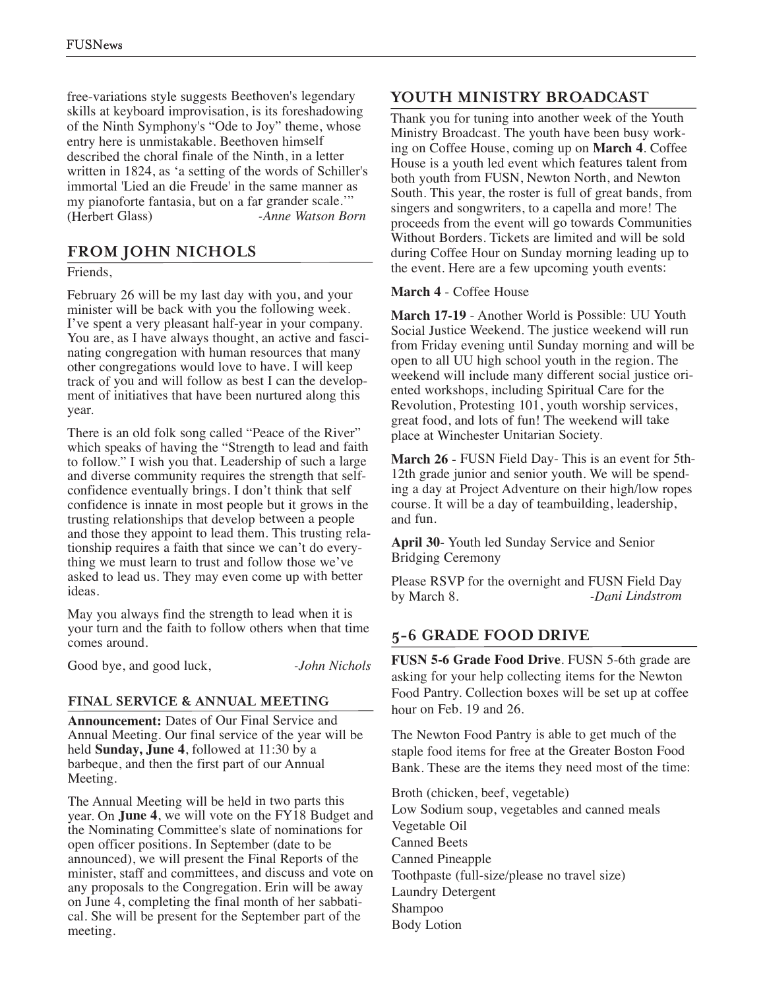free-variations style suggests Beethoven's legendary skills at keyboard improvisation, is its foreshadowing of the Ninth Symphony's "Ode to Joy" theme, whose entry here is unmistakable. Beethoven himself described the choral finale of the Ninth, in <sup>a</sup> letter written in 1824, as 'a setting of the words of Schiller's immortal 'Lied an die Freude' in the same manner as my pianoforte fantasia, but on <sup>a</sup> far grander scale.'" (Herbert Glass) *-Anne Watson Born*

# **FROM JOHN NICHOLS**

Friends,

February 26 will be my last day with you, and your minister will be back with you the following week. I've spen<sup>t</sup> <sup>a</sup> very pleasant half-year in your company. You are, as I have always thought, an active and fascinating congregation with human resources that many other congregations would love to have. I will keep track of you and will follow as best I can the development of initiatives that have been nurtured along this year.

There is an old folk song called "Peace of the River" which speaks of having the "Strength to lead and faith to follow." I wish you that. Leadership of such <sup>a</sup> large and diverse community requires the strength that selfconfidence eventually brings. I don't think that self confidence is innate in most people but it grows in the trusting relationships that develop between <sup>a</sup> people and those they appoint to lead them. This trusting relationship requires <sup>a</sup> faith that since we can't do everything we must learn to trust and follow those we've asked to lead us. They may even come up with better ideas.

May you always find the strength to lead when it is your turn and the faith to follow others when that time comes around.

Good bye, and good luck, *-John Nichols*

### **FINAL SERVICE & ANNUAL MEETING**

**Announcement:** Dates of Our Final Service and Annual Meeting. Our final service of the year will be held **Sunday, June 4**, followed at 11:30 by <sup>a</sup> barbeque, and then the first par<sup>t</sup> of our Annual Meeting.

The Annual Meeting will be held in two parts this year. On **June 4**, we will vote on the FY18 Budget and the Nominating Committee's slate of nominations for open officer positions. In September (date to be announced), we will presen<sup>t</sup> the Final Reports of the minister, staff and committees, and discuss and vote on any proposals to the Congregation. Erin will be away on June 4, completing the final month of her sabbatical. She will be presen<sup>t</sup> for the September par<sup>t</sup> of the meeting.

# **YOUTH MINISTRY BROADCAST**

Thank you for tuning into another week of the Youth Ministry Broadcast. The youth have been busy working on Coffee House, coming up on **March 4**. Coffee House is <sup>a</sup> youth led event which features talent from both youth from FUSN, Newton North, and Newton South. This year, the roster is full of grea<sup>t</sup> bands, from singers and songwriters, to <sup>a</sup> capella and more! The proceeds from the event will go towards Communities Without Borders. Tickets are limited and will be sold during Coffee Hour on Sunday morning leading up to the event. Here are <sup>a</sup> few upcoming youth events:

### **March 4** - Coffee House

**March 17-19** - Another World is Possible: UU Youth Social Justice Weekend. The justice weekend will run from Friday evening until Sunday morning and will be open to all UU high school youth in the region. The weekend will include many different social justice oriented workshops, including Spiritual Care for the Revolution, Protesting 101, youth worship services, grea<sup>t</sup> food, and lots of fun! The weekend will take place at Winchester Unitarian Society.

**March 26** - FUSN Field Day- This is an event for 5th-12th grade junior and senior youth. We will be spending <sup>a</sup> day at Project Adventure on their high/low ropes course. It will be <sup>a</sup> day of teambuilding, leadership, and fun.

**April 30**- Youth led Sunday Service and Senior Bridging Ceremony

Please RSVP for the overnight and FUSN Field Day by March 8. *-Dani Lindstrom*

# **5-6 GRADE FOOD DRIVE**

**FUSN 5-6 Grade Food Drive**. FUSN 5-6th grade are asking for your help collecting items for the Newton Food Pantry. Collection boxes will be set up at coffee hour on Feb. 19 and 26.

The Newton Food Pantry is able to ge<sup>t</sup> much of the staple food items for free at the Greater Boston Food Bank. These are the items they need most of the time:

Broth (chicken, beef, vegetable) Low Sodium soup, vegetables and canned meals Vegetable Oil Canned Beets Canned Pineapple Toothpaste (full-size/please no travel size) Laundry Detergent Shampoo Body Lotion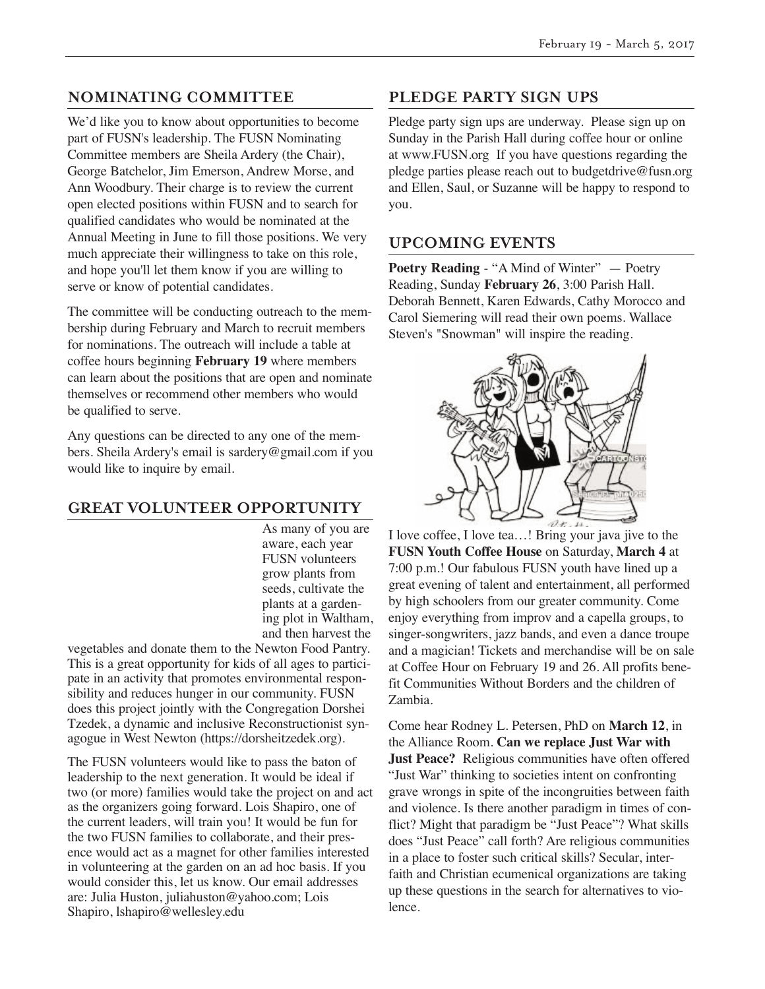# **NOMINATING COMMITTEE**

We'd like you to know about opportunities to become part of FUSN's leadership. The FUSN Nominating Committee members are Sheila Ardery (the Chair), George Batchelor, Jim Emerson, Andrew Morse, and Ann Woodbury. Their charge is to review the current open elected positions within FUSN and to search for qualified candidates who would be nominated at the Annual Meeting in June to fill those positions. We very much appreciate their willingness to take on this role, and hope you'll let them know if you are willing to serve or know of potential candidates.

The committee will be conducting outreach to the membership during February and March to recruit members for nominations. The outreach will include a table at coffee hours beginning **February 19** where members can learn about the positions that are open and nominate themselves or recommend other members who would be qualified to serve.

Any questions can be directed to any one of the members. Sheila Ardery's email is sardery@gmail.com if you would like to inquire by email.

# **GREAT VOLUNTEER OPPORTUNITY**

As many of you are aware, each year FUSN volunteers grow plants from seeds, cultivate the plants at a gardening plot in Waltham, and then harvest the

vegetables and donate them to the Newton Food Pantry. This is a great opportunity for kids of all ages to participate in an activity that promotes environmental responsibility and reduces hunger in our community. FUSN does this project jointly with the Congregation Dorshei Tzedek, a dynamic and inclusive Reconstructionist synagogue in West Newton (https://dorsheitzedek.org).

The FUSN volunteers would like to pass the baton of leadership to the next generation. It would be ideal if two (or more) families would take the project on and act as the organizers going forward. Lois Shapiro, one of the current leaders, will train you! It would be fun for the two FUSN families to collaborate, and their presence would act as a magnet for other families interested in volunteering at the garden on an ad hoc basis. If you would consider this, let us know. Our email addresses are: Julia Huston, juliahuston@yahoo.com; Lois Shapiro, lshapiro@wellesley.edu

# **PLEDGE PARTY SIGN UPS**

Pledge party sign ups are underway. Please sign up on Sunday in the Parish Hall during coffee hour or online at www.FUSN.org If you have questions regarding the pledge parties please reach out to budgetdrive@fusn.org and Ellen, Saul, or Suzanne will be happy to respond to you.

### **UPCOMING EVENTS**

**Poetry Reading** - "A Mind of Winter" — Poetry Reading, Sunday **February 26**, 3:00 Parish Hall. Deborah Bennett, Karen Edwards, Cathy Morocco and Carol Siemering will read their own poems. Wallace Steven's "Snowman" will inspire the reading.



I love coffee, I love tea…! Bring your java jive to the **FUSN Youth Coffee House** on Saturday, **March 4** at 7:00 p.m.! Our fabulous FUSN youth have lined up a great evening of talent and entertainment, all performed by high schoolers from our greater community. Come enjoy everything from improv and a capella groups, to singer-songwriters, jazz bands, and even a dance troupe and a magician! Tickets and merchandise will be on sale at Coffee Hour on February 19 and 26. All profits benefit Communities Without Borders and the children of Zambia.

Come hear Rodney L. Petersen, PhD on **March 12**, in the Alliance Room. **Can we replace Just War with Just Peace?** Religious communities have often offered "Just War" thinking to societies intent on confronting grave wrongs in spite of the incongruities between faith and violence. Is there another paradigm in times of conflict? Might that paradigm be "Just Peace"? What skills does "Just Peace" call forth? Are religious communities in a place to foster such critical skills? Secular, interfaith and Christian ecumenical organizations are taking up these questions in the search for alternatives to violence.